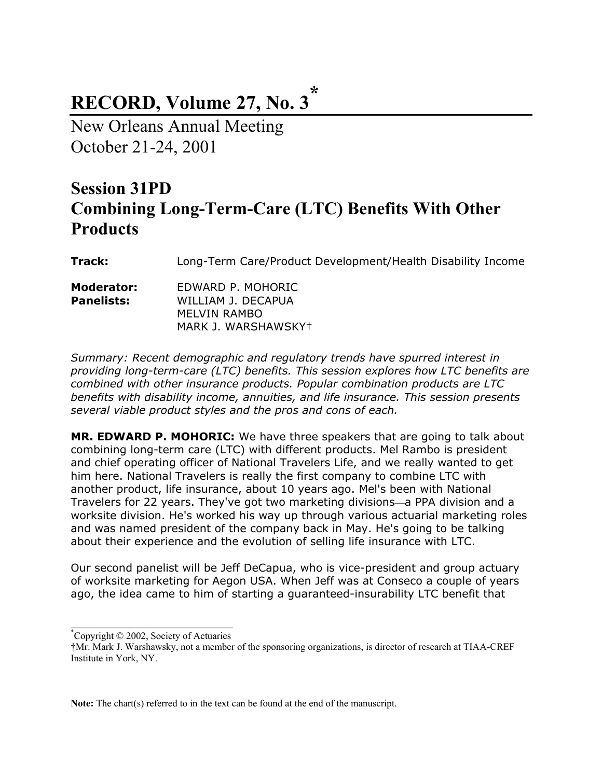# **RECORD, Volume 27, No. 3\***

New Orleans Annual Meeting October 21-24, 2001

## **Session 31PD Combining Long-Term-Care (LTC) Benefits With Other Products**

**Track:** Long-Term Care/Product Development/Health Disability Income

| Moderator:        | EDWARD P. MOHORIC   |
|-------------------|---------------------|
| <b>Panelists:</b> | WILLIAM J. DECAPUA  |
|                   | <b>MELVIN RAMBO</b> |
|                   | MARK J. WARSHAWSKY† |

*Summary: Recent demographic and regulatory trends have spurred interest in providing long-term-care (LTC) benefits. This session explores how LTC benefits are combined with other insurance products. Popular combination products are LTC benefits with disability income, annuities, and life insurance. This session presents several viable product styles and the pros and cons of each.* 

**MR. EDWARD P. MOHORIC:** We have three speakers that are going to talk about combining long-term care (LTC) with different products. Mel Rambo is president and chief operating officer of National Travelers Life, and we really wanted to get him here. National Travelers is really the first company to combine LTC with another product, life insurance, about 10 years ago. Mel's been with National Travelers for 22 years. They've got two marketing divisions—a PPA division and a worksite division. He's worked his way up through various actuarial marketing roles and was named president of the company back in May. He's going to be talking about their experience and the evolution of selling life insurance with LTC.

Our second panelist will be Jeff DeCapua, who is vice-president and group actuary of worksite marketing for Aegon USA. When Jeff was at Conseco a couple of years ago, the idea came to him of starting a guaranteed-insurability LTC benefit that

**Note:** The chart(s) referred to in the text can be found at the end of the manuscript.

<sup>\*</sup> Copyright © 2002, Society of Actuaries

<sup>†</sup>Mr. Mark J. Warshawsky, not a member of the sponsoring organizations, is director of research at TIAA-CREF Institute in York, NY.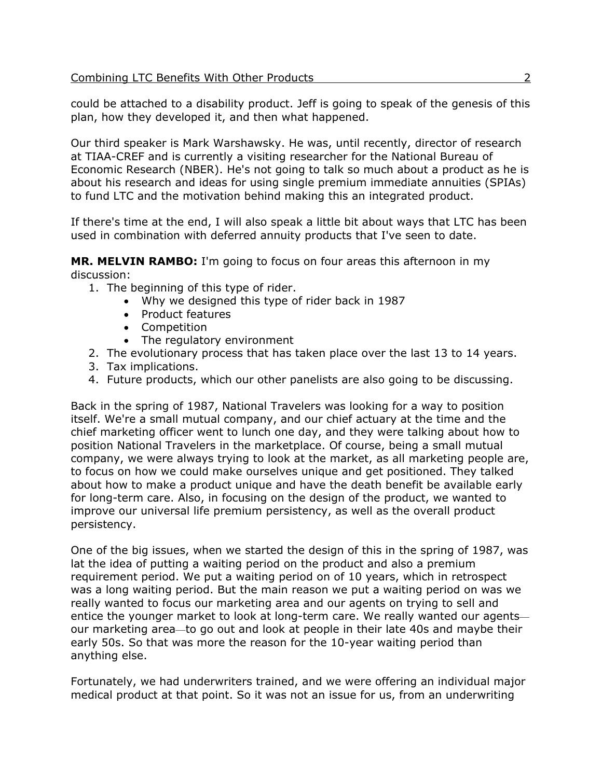could be attached to a disability product. Jeff is going to speak of the genesis of this plan, how they developed it, and then what happened.

Our third speaker is Mark Warshawsky. He was, until recently, director of research at TIAA-CREF and is currently a visiting researcher for the National Bureau of Economic Research (NBER). He's not going to talk so much about a product as he is about his research and ideas for using single premium immediate annuities (SPIAs) to fund LTC and the motivation behind making this an integrated product.

If there's time at the end, I will also speak a little bit about ways that LTC has been used in combination with deferred annuity products that I've seen to date.

**MR. MELVIN RAMBO:** I'm going to focus on four areas this afternoon in my discussion:

- 1. The beginning of this type of rider.
	- Why we designed this type of rider back in 1987
	- Product features
	- Competition
	- The regulatory environment
- 2. The evolutionary process that has taken place over the last 13 to 14 years.
- 3. Tax implications.
- 4. Future products, which our other panelists are also going to be discussing.

Back in the spring of 1987, National Travelers was looking for a way to position itself. We're a small mutual company, and our chief actuary at the time and the chief marketing officer went to lunch one day, and they were talking about how to position National Travelers in the marketplace. Of course, being a small mutual company, we were always trying to look at the market, as all marketing people are, to focus on how we could make ourselves unique and get positioned. They talked about how to make a product unique and have the death benefit be available early for long-term care. Also, in focusing on the design of the product, we wanted to improve our universal life premium persistency, as well as the overall product persistency.

One of the big issues, when we started the design of this in the spring of 1987, was lat the idea of putting a waiting period on the product and also a premium requirement period. We put a waiting period on of 10 years, which in retrospect was a long waiting period. But the main reason we put a waiting period on was we really wanted to focus our marketing area and our agents on trying to sell and entice the younger market to look at long-term care. We really wanted our agents our marketing area—to go out and look at people in their late 40s and maybe their early 50s. So that was more the reason for the 10-year waiting period than anything else.

Fortunately, we had underwriters trained, and we were offering an individual major medical product at that point. So it was not an issue for us, from an underwriting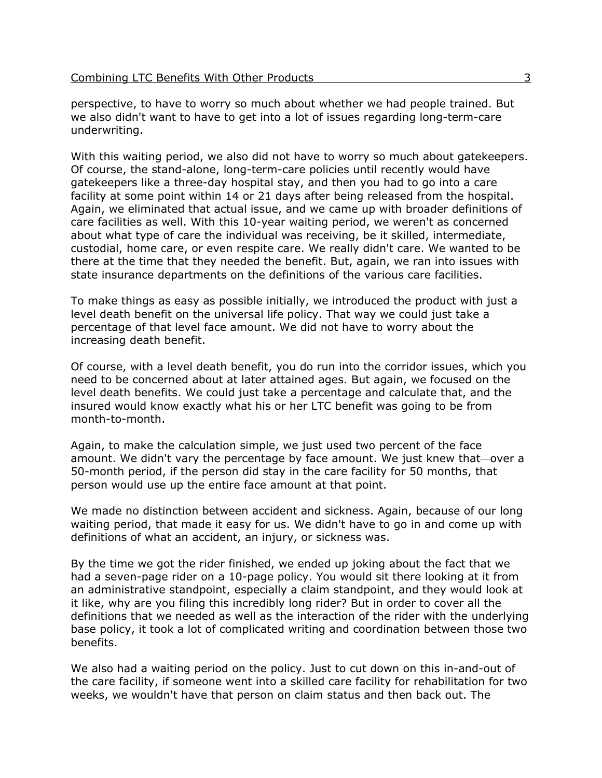perspective, to have to worry so much about whether we had people trained. But we also didn't want to have to get into a lot of issues regarding long-term-care underwriting.

With this waiting period, we also did not have to worry so much about gatekeepers. Of course, the stand-alone, long-term-care policies until recently would have gatekeepers like a three-day hospital stay, and then you had to go into a care facility at some point within 14 or 21 days after being released from the hospital. Again, we eliminated that actual issue, and we came up with broader definitions of care facilities as well. With this 10-year waiting period, we weren't as concerned about what type of care the individual was receiving, be it skilled, intermediate, custodial, home care, or even respite care. We really didn't care. We wanted to be there at the time that they needed the benefit. But, again, we ran into issues with state insurance departments on the definitions of the various care facilities.

To make things as easy as possible initially, we introduced the product with just a level death benefit on the universal life policy. That way we could just take a percentage of that level face amount. We did not have to worry about the increasing death benefit.

Of course, with a level death benefit, you do run into the corridor issues, which you need to be concerned about at later attained ages. But again, we focused on the level death benefits. We could just take a percentage and calculate that, and the insured would know exactly what his or her LTC benefit was going to be from month-to-month.

Again, to make the calculation simple, we just used two percent of the face amount. We didn't vary the percentage by face amount. We just knew that—over a 50-month period, if the person did stay in the care facility for 50 months, that person would use up the entire face amount at that point.

We made no distinction between accident and sickness. Again, because of our long waiting period, that made it easy for us. We didn't have to go in and come up with definitions of what an accident, an injury, or sickness was.

By the time we got the rider finished, we ended up joking about the fact that we had a seven-page rider on a 10-page policy. You would sit there looking at it from an administrative standpoint, especially a claim standpoint, and they would look at it like, why are you filing this incredibly long rider? But in order to cover all the definitions that we needed as well as the interaction of the rider with the underlying base policy, it took a lot of complicated writing and coordination between those two benefits.

We also had a waiting period on the policy. Just to cut down on this in-and-out of the care facility, if someone went into a skilled care facility for rehabilitation for two weeks, we wouldn't have that person on claim status and then back out. The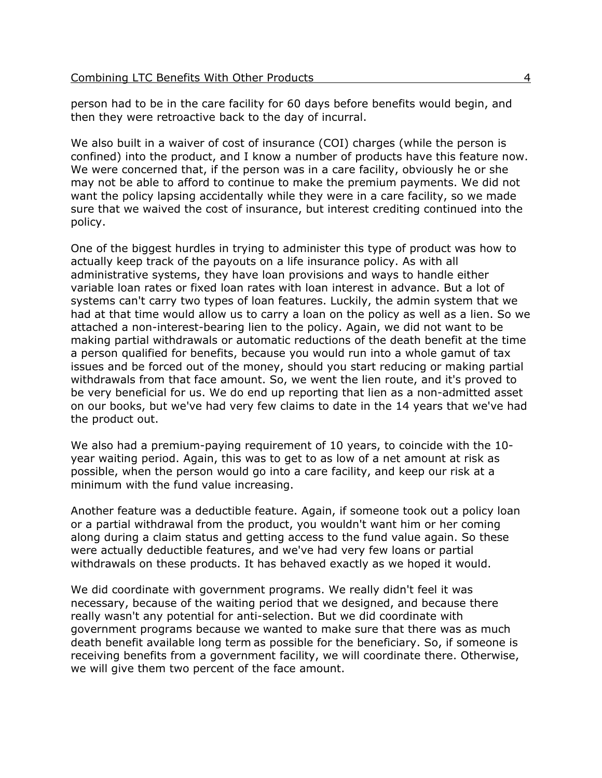person had to be in the care facility for 60 days before benefits would begin, and then they were retroactive back to the day of incurral.

We also built in a waiver of cost of insurance (COI) charges (while the person is confined) into the product, and I know a number of products have this feature now. We were concerned that, if the person was in a care facility, obviously he or she may not be able to afford to continue to make the premium payments. We did not want the policy lapsing accidentally while they were in a care facility, so we made sure that we waived the cost of insurance, but interest crediting continued into the policy.

One of the biggest hurdles in trying to administer this type of product was how to actually keep track of the payouts on a life insurance policy. As with all administrative systems, they have loan provisions and ways to handle either variable loan rates or fixed loan rates with loan interest in advance. But a lot of systems can't carry two types of loan features. Luckily, the admin system that we had at that time would allow us to carry a loan on the policy as well as a lien. So we attached a non-interest-bearing lien to the policy. Again, we did not want to be making partial withdrawals or automatic reductions of the death benefit at the time a person qualified for benefits, because you would run into a whole gamut of tax issues and be forced out of the money, should you start reducing or making partial withdrawals from that face amount. So, we went the lien route, and it's proved to be very beneficial for us. We do end up reporting that lien as a non-admitted asset on our books, but we've had very few claims to date in the 14 years that we've had the product out.

We also had a premium-paying requirement of 10 years, to coincide with the 10 year waiting period. Again, this was to get to as low of a net amount at risk as possible, when the person would go into a care facility, and keep our risk at a minimum with the fund value increasing.

Another feature was a deductible feature. Again, if someone took out a policy loan or a partial withdrawal from the product, you wouldn't want him or her coming along during a claim status and getting access to the fund value again. So these were actually deductible features, and we've had very few loans or partial withdrawals on these products. It has behaved exactly as we hoped it would.

We did coordinate with government programs. We really didn't feel it was necessary, because of the waiting period that we designed, and because there really wasn't any potential for anti-selection. But we did coordinate with government programs because we wanted to make sure that there was as much death benefit available long term as possible for the beneficiary. So, if someone is receiving benefits from a government facility, we will coordinate there. Otherwise, we will give them two percent of the face amount.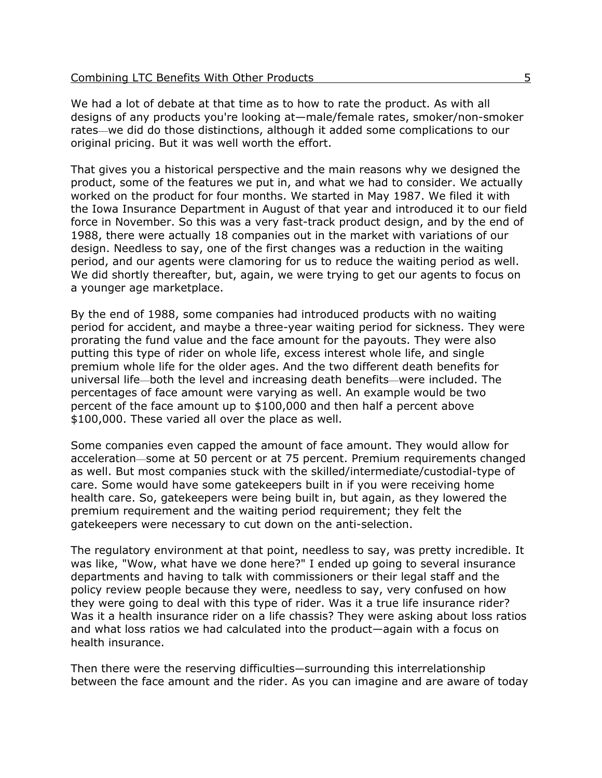We had a lot of debate at that time as to how to rate the product. As with all designs of any products you're looking at—male/female rates, smoker/non-smoker rates—we did do those distinctions, although it added some complications to our original pricing. But it was well worth the effort.

That gives you a historical perspective and the main reasons why we designed the product, some of the features we put in, and what we had to consider. We actually worked on the product for four months. We started in May 1987. We filed it with the Iowa Insurance Department in August of that year and introduced it to our field force in November. So this was a very fast-track product design, and by the end of 1988, there were actually 18 companies out in the market with variations of our design. Needless to say, one of the first changes was a reduction in the waiting period, and our agents were clamoring for us to reduce the waiting period as well. We did shortly thereafter, but, again, we were trying to get our agents to focus on a younger age marketplace.

By the end of 1988, some companies had introduced products with no waiting period for accident, and maybe a three-year waiting period for sickness. They were prorating the fund value and the face amount for the payouts. They were also putting this type of rider on whole life, excess interest whole life, and single premium whole life for the older ages. And the two different death benefits for universal life—both the level and increasing death benefits—were included. The percentages of face amount were varying as well. An example would be two percent of the face amount up to \$100,000 and then half a percent above \$100,000. These varied all over the place as well.

Some companies even capped the amount of face amount. They would allow for acceleration—some at 50 percent or at 75 percent. Premium requirements changed as well. But most companies stuck with the skilled/intermediate/custodial-type of care. Some would have some gatekeepers built in if you were receiving home health care. So, gatekeepers were being built in, but again, as they lowered the premium requirement and the waiting period requirement; they felt the gatekeepers were necessary to cut down on the anti-selection.

The regulatory environment at that point, needless to say, was pretty incredible. It was like, "Wow, what have we done here?" I ended up going to several insurance departments and having to talk with commissioners or their legal staff and the policy review people because they were, needless to say, very confused on how they were going to deal with this type of rider. Was it a true life insurance rider? Was it a health insurance rider on a life chassis? They were asking about loss ratios and what loss ratios we had calculated into the product—again with a focus on health insurance.

Then there were the reserving difficulties—surrounding this interrelationship between the face amount and the rider. As you can imagine and are aware of today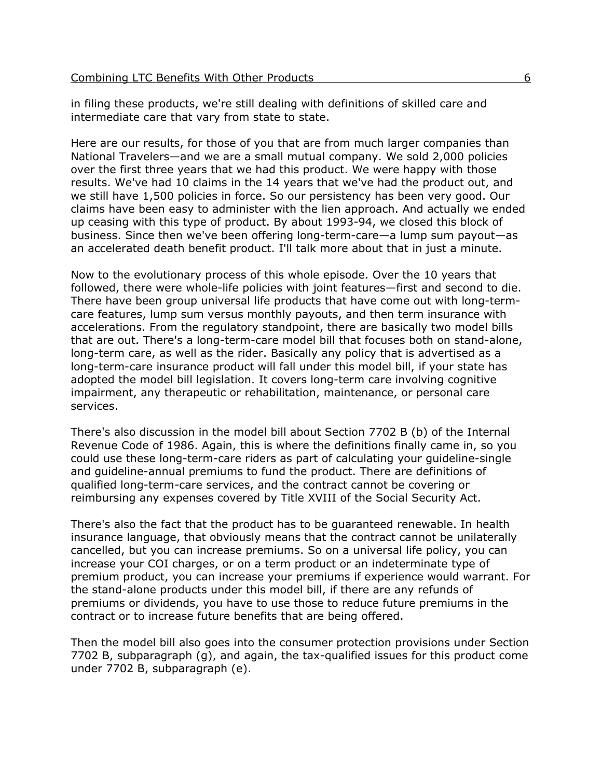in filing these products, we're still dealing with definitions of skilled care and intermediate care that vary from state to state.

Here are our results, for those of you that are from much larger companies than National Travelers—and we are a small mutual company. We sold 2,000 policies over the first three years that we had this product. We were happy with those results. We've had 10 claims in the 14 years that we've had the product out, and we still have 1,500 policies in force. So our persistency has been very good. Our claims have been easy to administer with the lien approach. And actually we ended up ceasing with this type of product. By about 1993-94, we closed this block of business. Since then we've been offering long-term-care—a lump sum payout—as an accelerated death benefit product. I'll talk more about that in just a minute.

Now to the evolutionary process of this whole episode. Over the 10 years that followed, there were whole-life policies with joint features—first and second to die. There have been group universal life products that have come out with long-termcare features, lump sum versus monthly payouts, and then term insurance with accelerations. From the regulatory standpoint, there are basically two model bills that are out. There's a long-term-care model bill that focuses both on stand-alone, long-term care, as well as the rider. Basically any policy that is advertised as a long-term-care insurance product will fall under this model bill, if your state has adopted the model bill legislation. It covers long-term care involving cognitive impairment, any therapeutic or rehabilitation, maintenance, or personal care services.

There's also discussion in the model bill about Section 7702 B (b) of the Internal Revenue Code of 1986. Again, this is where the definitions finally came in, so you could use these long-term-care riders as part of calculating your guideline-single and guideline-annual premiums to fund the product. There are definitions of qualified long-term-care services, and the contract cannot be covering or reimbursing any expenses covered by Title XVIII of the Social Security Act.

There's also the fact that the product has to be guaranteed renewable. In health insurance language, that obviously means that the contract cannot be unilaterally cancelled, but you can increase premiums. So on a universal life policy, you can increase your COI charges, or on a term product or an indeterminate type of premium product, you can increase your premiums if experience would warrant. For the stand-alone products under this model bill, if there are any refunds of premiums or dividends, you have to use those to reduce future premiums in the contract or to increase future benefits that are being offered.

Then the model bill also goes into the consumer protection provisions under Section 7702 B, subparagraph (g), and again, the tax-qualified issues for this product come under 7702 B, subparagraph (e).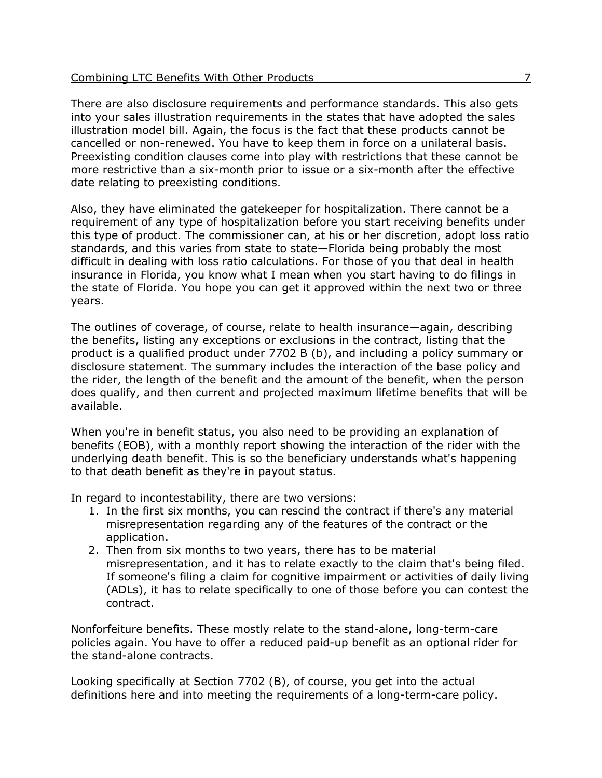There are also disclosure requirements and performance standards. This also gets into your sales illustration requirements in the states that have adopted the sales illustration model bill. Again, the focus is the fact that these products cannot be cancelled or non-renewed. You have to keep them in force on a unilateral basis. Preexisting condition clauses come into play with restrictions that these cannot be more restrictive than a six-month prior to issue or a six-month after the effective date relating to preexisting conditions.

Also, they have eliminated the gatekeeper for hospitalization. There cannot be a requirement of any type of hospitalization before you start receiving benefits under this type of product. The commissioner can, at his or her discretion, adopt loss ratio standards, and this varies from state to state—Florida being probably the most difficult in dealing with loss ratio calculations. For those of you that deal in health insurance in Florida, you know what I mean when you start having to do filings in the state of Florida. You hope you can get it approved within the next two or three years.

The outlines of coverage, of course, relate to health insurance—again, describing the benefits, listing any exceptions or exclusions in the contract, listing that the product is a qualified product under 7702 B (b), and including a policy summary or disclosure statement. The summary includes the interaction of the base policy and the rider, the length of the benefit and the amount of the benefit, when the person does qualify, and then current and projected maximum lifetime benefits that will be available.

When you're in benefit status, you also need to be providing an explanation of benefits (EOB), with a monthly report showing the interaction of the rider with the underlying death benefit. This is so the beneficiary understands what's happening to that death benefit as they're in payout status.

In regard to incontestability, there are two versions:

- 1. In the first six months, you can rescind the contract if there's any material misrepresentation regarding any of the features of the contract or the application.
- 2. Then from six months to two years, there has to be material misrepresentation, and it has to relate exactly to the claim that's being filed. If someone's filing a claim for cognitive impairment or activities of daily living (ADLs), it has to relate specifically to one of those before you can contest the contract.

Nonforfeiture benefits. These mostly relate to the stand-alone, long-term-care policies again. You have to offer a reduced paid-up benefit as an optional rider for the stand-alone contracts.

Looking specifically at Section 7702 (B), of course, you get into the actual definitions here and into meeting the requirements of a long-term-care policy.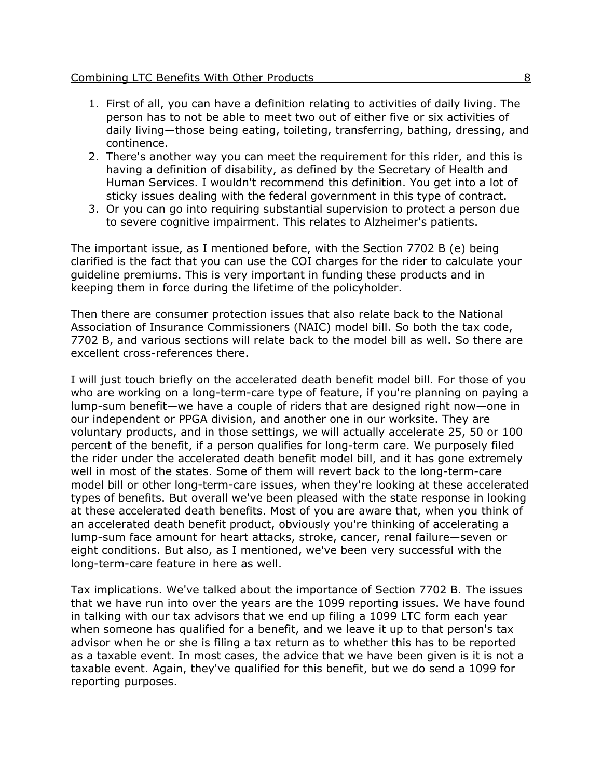### Combining LTC Benefits With Other Products 8

- 1. First of all, you can have a definition relating to activities of daily living. The person has to not be able to meet two out of either five or six activities of daily living—those being eating, toileting, transferring, bathing, dressing, and continence.
- 2. There's another way you can meet the requirement for this rider, and this is having a definition of disability, as defined by the Secretary of Health and Human Services. I wouldn't recommend this definition. You get into a lot of sticky issues dealing with the federal government in this type of contract.
- 3. Or you can go into requiring substantial supervision to protect a person due to severe cognitive impairment. This relates to Alzheimer's patients.

The important issue, as I mentioned before, with the Section 7702 B (e) being clarified is the fact that you can use the COI charges for the rider to calculate your guideline premiums. This is very important in funding these products and in keeping them in force during the lifetime of the policyholder.

Then there are consumer protection issues that also relate back to the National Association of Insurance Commissioners (NAIC) model bill. So both the tax code, 7702 B, and various sections will relate back to the model bill as well. So there are excellent cross-references there.

I will just touch briefly on the accelerated death benefit model bill. For those of you who are working on a long-term-care type of feature, if you're planning on paying a lump-sum benefit—we have a couple of riders that are designed right now—one in our independent or PPGA division, and another one in our worksite. They are voluntary products, and in those settings, we will actually accelerate 25, 50 or 100 percent of the benefit, if a person qualifies for long-term care. We purposely filed the rider under the accelerated death benefit model bill, and it has gone extremely well in most of the states. Some of them will revert back to the long-term-care model bill or other long-term-care issues, when they're looking at these accelerated types of benefits. But overall we've been pleased with the state response in looking at these accelerated death benefits. Most of you are aware that, when you think of an accelerated death benefit product, obviously you're thinking of accelerating a lump-sum face amount for heart attacks, stroke, cancer, renal failure—seven or eight conditions. But also, as I mentioned, we've been very successful with the long-term-care feature in here as well.

Tax implications. We've talked about the importance of Section 7702 B. The issues that we have run into over the years are the 1099 reporting issues. We have found in talking with our tax advisors that we end up filing a 1099 LTC form each year when someone has qualified for a benefit, and we leave it up to that person's tax advisor when he or she is filing a tax return as to whether this has to be reported as a taxable event. In most cases, the advice that we have been given is it is not a taxable event. Again, they've qualified for this benefit, but we do send a 1099 for reporting purposes.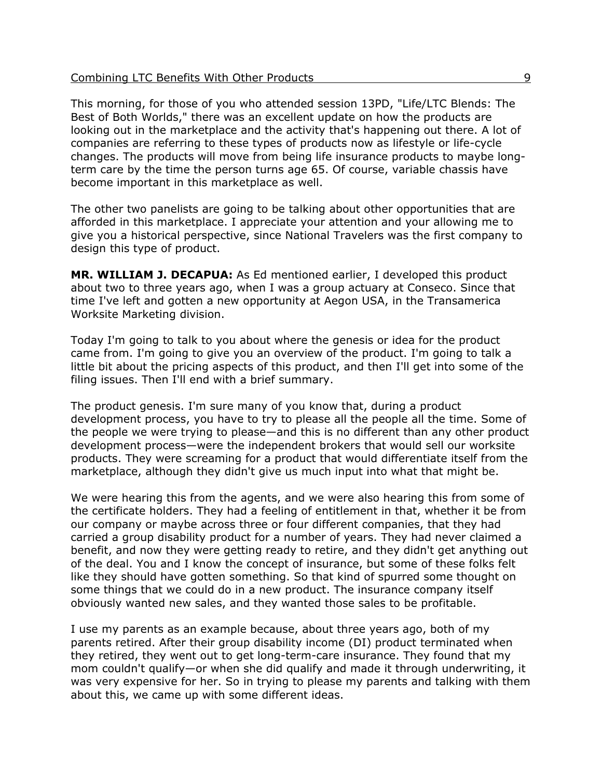This morning, for those of you who attended session 13PD, "Life/LTC Blends: The Best of Both Worlds," there was an excellent update on how the products are looking out in the marketplace and the activity that's happening out there. A lot of companies are referring to these types of products now as lifestyle or life-cycle changes. The products will move from being life insurance products to maybe longterm care by the time the person turns age 65. Of course, variable chassis have become important in this marketplace as well.

The other two panelists are going to be talking about other opportunities that are afforded in this marketplace. I appreciate your attention and your allowing me to give you a historical perspective, since National Travelers was the first company to design this type of product.

**MR. WILLIAM J. DECAPUA:** As Ed mentioned earlier, I developed this product about two to three years ago, when I was a group actuary at Conseco. Since that time I've left and gotten a new opportunity at Aegon USA, in the Transamerica Worksite Marketing division.

Today I'm going to talk to you about where the genesis or idea for the product came from. I'm going to give you an overview of the product. I'm going to talk a little bit about the pricing aspects of this product, and then I'll get into some of the filing issues. Then I'll end with a brief summary.

The product genesis. I'm sure many of you know that, during a product development process, you have to try to please all the people all the time. Some of the people we were trying to please—and this is no different than any other product development process—were the independent brokers that would sell our worksite products. They were screaming for a product that would differentiate itself from the marketplace, although they didn't give us much input into what that might be.

We were hearing this from the agents, and we were also hearing this from some of the certificate holders. They had a feeling of entitlement in that, whether it be from our company or maybe across three or four different companies, that they had carried a group disability product for a number of years. They had never claimed a benefit, and now they were getting ready to retire, and they didn't get anything out of the deal. You and I know the concept of insurance, but some of these folks felt like they should have gotten something. So that kind of spurred some thought on some things that we could do in a new product. The insurance company itself obviously wanted new sales, and they wanted those sales to be profitable.

I use my parents as an example because, about three years ago, both of my parents retired. After their group disability income (DI) product terminated when they retired, they went out to get long-term-care insurance. They found that my mom couldn't qualify—or when she did qualify and made it through underwriting, it was very expensive for her. So in trying to please my parents and talking with them about this, we came up with some different ideas.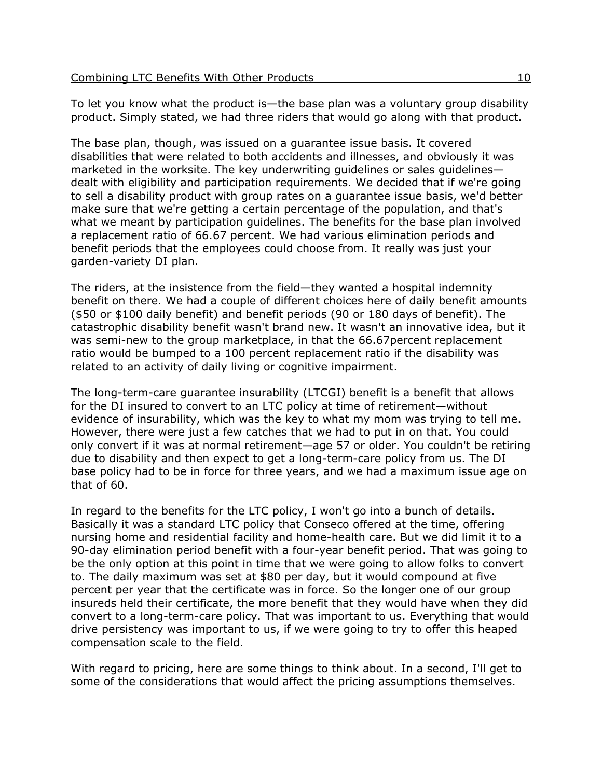To let you know what the product is—the base plan was a voluntary group disability product. Simply stated, we had three riders that would go along with that product.

The base plan, though, was issued on a guarantee issue basis. It covered disabilities that were related to both accidents and illnesses, and obviously it was marketed in the worksite. The key underwriting guidelines or sales guidelines dealt with eligibility and participation requirements. We decided that if we're going to sell a disability product with group rates on a guarantee issue basis, we'd better make sure that we're getting a certain percentage of the population, and that's what we meant by participation guidelines. The benefits for the base plan involved a replacement ratio of 66.67 percent. We had various elimination periods and benefit periods that the employees could choose from. It really was just your garden-variety DI plan.

The riders, at the insistence from the field—they wanted a hospital indemnity benefit on there. We had a couple of different choices here of daily benefit amounts (\$50 or \$100 daily benefit) and benefit periods (90 or 180 days of benefit). The catastrophic disability benefit wasn't brand new. It wasn't an innovative idea, but it was semi-new to the group marketplace, in that the 66.67percent replacement ratio would be bumped to a 100 percent replacement ratio if the disability was related to an activity of daily living or cognitive impairment.

The long-term-care guarantee insurability (LTCGI) benefit is a benefit that allows for the DI insured to convert to an LTC policy at time of retirement—without evidence of insurability, which was the key to what my mom was trying to tell me. However, there were just a few catches that we had to put in on that. You could only convert if it was at normal retirement—age 57 or older. You couldn't be retiring due to disability and then expect to get a long-term-care policy from us. The DI base policy had to be in force for three years, and we had a maximum issue age on that of 60.

In regard to the benefits for the LTC policy, I won't go into a bunch of details. Basically it was a standard LTC policy that Conseco offered at the time, offering nursing home and residential facility and home-health care. But we did limit it to a 90-day elimination period benefit with a four-year benefit period. That was going to be the only option at this point in time that we were going to allow folks to convert to. The daily maximum was set at \$80 per day, but it would compound at five percent per year that the certificate was in force. So the longer one of our group insureds held their certificate, the more benefit that they would have when they did convert to a long-term-care policy. That was important to us. Everything that would drive persistency was important to us, if we were going to try to offer this heaped compensation scale to the field.

With regard to pricing, here are some things to think about. In a second, I'll get to some of the considerations that would affect the pricing assumptions themselves.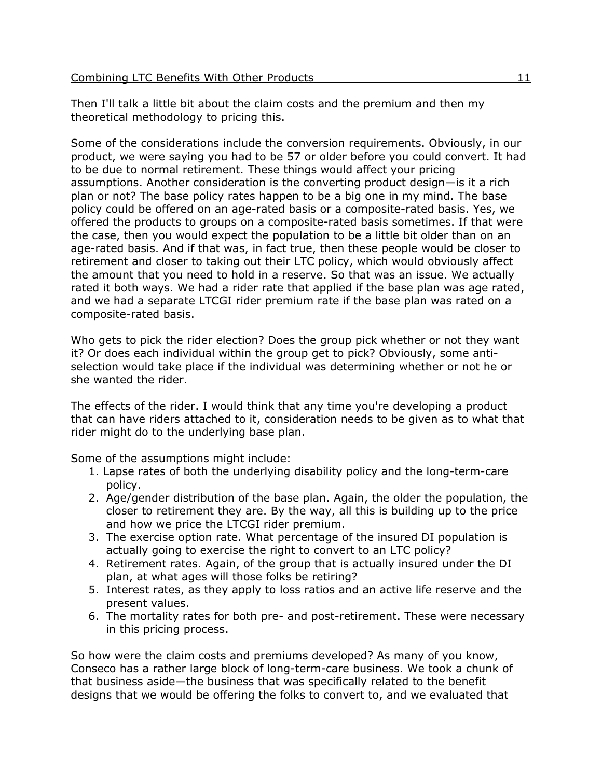Then I'll talk a little bit about the claim costs and the premium and then my theoretical methodology to pricing this.

Some of the considerations include the conversion requirements. Obviously, in our product, we were saying you had to be 57 or older before you could convert. It had to be due to normal retirement. These things would affect your pricing assumptions. Another consideration is the converting product design—is it a rich plan or not? The base policy rates happen to be a big one in my mind. The base policy could be offered on an age-rated basis or a composite-rated basis. Yes, we offered the products to groups on a composite-rated basis sometimes. If that were the case, then you would expect the population to be a little bit older than on an age-rated basis. And if that was, in fact true, then these people would be closer to retirement and closer to taking out their LTC policy, which would obviously affect the amount that you need to hold in a reserve. So that was an issue. We actually rated it both ways. We had a rider rate that applied if the base plan was age rated, and we had a separate LTCGI rider premium rate if the base plan was rated on a composite-rated basis.

Who gets to pick the rider election? Does the group pick whether or not they want it? Or does each individual within the group get to pick? Obviously, some antiselection would take place if the individual was determining whether or not he or she wanted the rider.

The effects of the rider. I would think that any time you're developing a product that can have riders attached to it, consideration needs to be given as to what that rider might do to the underlying base plan.

Some of the assumptions might include:

- 1. Lapse rates of both the underlying disability policy and the long-term-care policy.
- 2. Age/gender distribution of the base plan. Again, the older the population, the closer to retirement they are. By the way, all this is building up to the price and how we price the LTCGI rider premium.
- 3. The exercise option rate. What percentage of the insured DI population is actually going to exercise the right to convert to an LTC policy?
- 4. Retirement rates. Again, of the group that is actually insured under the DI plan, at what ages will those folks be retiring?
- 5. Interest rates, as they apply to loss ratios and an active life reserve and the present values.
- 6. The mortality rates for both pre- and post-retirement. These were necessary in this pricing process.

So how were the claim costs and premiums developed? As many of you know, Conseco has a rather large block of long-term-care business. We took a chunk of that business aside—the business that was specifically related to the benefit designs that we would be offering the folks to convert to, and we evaluated that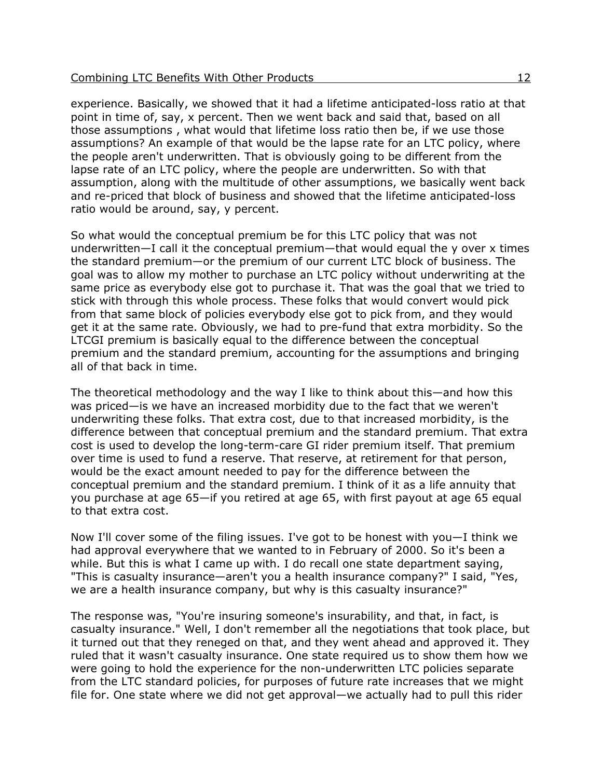experience. Basically, we showed that it had a lifetime anticipated-loss ratio at that point in time of, say, x percent. Then we went back and said that, based on all those assumptions , what would that lifetime loss ratio then be, if we use those assumptions? An example of that would be the lapse rate for an LTC policy, where the people aren't underwritten. That is obviously going to be different from the lapse rate of an LTC policy, where the people are underwritten. So with that assumption, along with the multitude of other assumptions, we basically went back and re-priced that block of business and showed that the lifetime anticipated-loss ratio would be around, say, y percent.

So what would the conceptual premium be for this LTC policy that was not underwritten—I call it the conceptual premium—that would equal the y over x times the standard premium—or the premium of our current LTC block of business. The goal was to allow my mother to purchase an LTC policy without underwriting at the same price as everybody else got to purchase it. That was the goal that we tried to stick with through this whole process. These folks that would convert would pick from that same block of policies everybody else got to pick from, and they would get it at the same rate. Obviously, we had to pre-fund that extra morbidity. So the LTCGI premium is basically equal to the difference between the conceptual premium and the standard premium, accounting for the assumptions and bringing all of that back in time.

The theoretical methodology and the way I like to think about this—and how this was priced—is we have an increased morbidity due to the fact that we weren't underwriting these folks. That extra cost, due to that increased morbidity, is the difference between that conceptual premium and the standard premium. That extra cost is used to develop the long-term-care GI rider premium itself. That premium over time is used to fund a reserve. That reserve, at retirement for that person, would be the exact amount needed to pay for the difference between the conceptual premium and the standard premium. I think of it as a life annuity that you purchase at age 65—if you retired at age 65, with first payout at age 65 equal to that extra cost.

Now I'll cover some of the filing issues. I've got to be honest with you—I think we had approval everywhere that we wanted to in February of 2000. So it's been a while. But this is what I came up with. I do recall one state department saying, "This is casualty insurance—aren't you a health insurance company?" I said, "Yes, we are a health insurance company, but why is this casualty insurance?"

The response was, "You're insuring someone's insurability, and that, in fact, is casualty insurance." Well, I don't remember all the negotiations that took place, but it turned out that they reneged on that, and they went ahead and approved it. They ruled that it wasn't casualty insurance. One state required us to show them how we were going to hold the experience for the non-underwritten LTC policies separate from the LTC standard policies, for purposes of future rate increases that we might file for. One state where we did not get approval—we actually had to pull this rider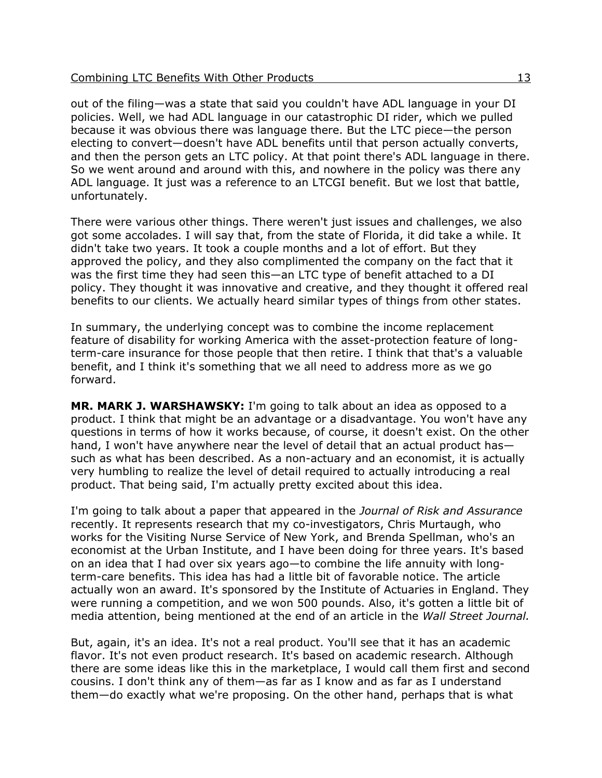out of the filing—was a state that said you couldn't have ADL language in your DI policies. Well, we had ADL language in our catastrophic DI rider, which we pulled because it was obvious there was language there. But the LTC piece—the person electing to convert—doesn't have ADL benefits until that person actually converts, and then the person gets an LTC policy. At that point there's ADL language in there. So we went around and around with this, and nowhere in the policy was there any ADL language. It just was a reference to an LTCGI benefit. But we lost that battle, unfortunately.

There were various other things. There weren't just issues and challenges, we also got some accolades. I will say that, from the state of Florida, it did take a while. It didn't take two years. It took a couple months and a lot of effort. But they approved the policy, and they also complimented the company on the fact that it was the first time they had seen this—an LTC type of benefit attached to a DI policy. They thought it was innovative and creative, and they thought it offered real benefits to our clients. We actually heard similar types of things from other states.

In summary, the underlying concept was to combine the income replacement feature of disability for working America with the asset-protection feature of longterm-care insurance for those people that then retire. I think that that's a valuable benefit, and I think it's something that we all need to address more as we go forward.

**MR. MARK J. WARSHAWSKY:** I'm going to talk about an idea as opposed to a product. I think that might be an advantage or a disadvantage. You won't have any questions in terms of how it works because, of course, it doesn't exist. On the other hand, I won't have anywhere near the level of detail that an actual product hassuch as what has been described. As a non-actuary and an economist, it is actually very humbling to realize the level of detail required to actually introducing a real product. That being said, I'm actually pretty excited about this idea.

I'm going to talk about a paper that appeared in the *Journal of Risk and Assurance* recently. It represents research that my co-investigators, Chris Murtaugh, who works for the Visiting Nurse Service of New York, and Brenda Spellman, who's an economist at the Urban Institute, and I have been doing for three years. It's based on an idea that I had over six years ago—to combine the life annuity with longterm-care benefits. This idea has had a little bit of favorable notice. The article actually won an award. It's sponsored by the Institute of Actuaries in England. They were running a competition, and we won 500 pounds. Also, it's gotten a little bit of media attention, being mentioned at the end of an article in the *Wall Street Journal.*

But, again, it's an idea. It's not a real product. You'll see that it has an academic flavor. It's not even product research. It's based on academic research. Although there are some ideas like this in the marketplace, I would call them first and second cousins. I don't think any of them—as far as I know and as far as I understand them—do exactly what we're proposing. On the other hand, perhaps that is what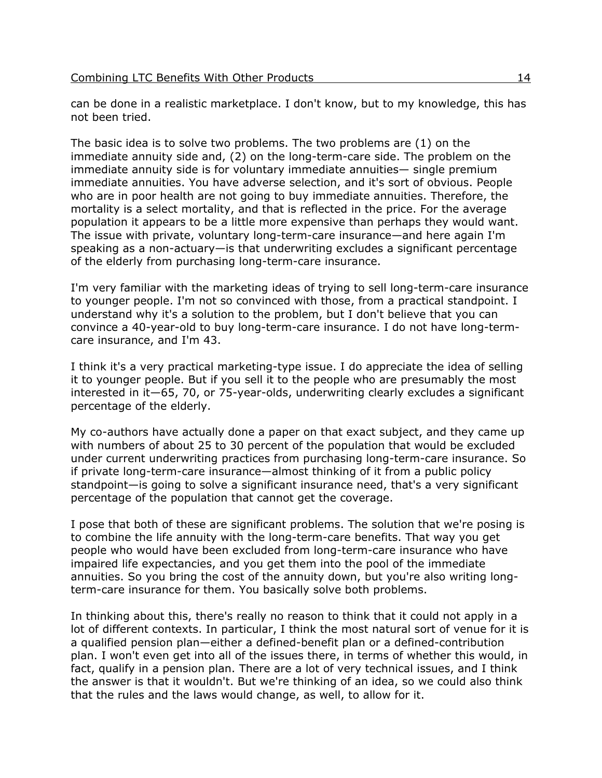can be done in a realistic marketplace. I don't know, but to my knowledge, this has not been tried.

The basic idea is to solve two problems. The two problems are (1) on the immediate annuity side and, (2) on the long-term-care side. The problem on the immediate annuity side is for voluntary immediate annuities— single premium immediate annuities. You have adverse selection, and it's sort of obvious. People who are in poor health are not going to buy immediate annuities. Therefore, the mortality is a select mortality, and that is reflected in the price. For the average population it appears to be a little more expensive than perhaps they would want. The issue with private, voluntary long-term-care insurance—and here again I'm speaking as a non-actuary—is that underwriting excludes a significant percentage of the elderly from purchasing long-term-care insurance.

I'm very familiar with the marketing ideas of trying to sell long-term-care insurance to younger people. I'm not so convinced with those, from a practical standpoint. I understand why it's a solution to the problem, but I don't believe that you can convince a 40-year-old to buy long-term-care insurance. I do not have long-termcare insurance, and I'm 43.

I think it's a very practical marketing-type issue. I do appreciate the idea of selling it to younger people. But if you sell it to the people who are presumably the most interested in it—65, 70, or 75-year-olds, underwriting clearly excludes a significant percentage of the elderly.

My co-authors have actually done a paper on that exact subject, and they came up with numbers of about 25 to 30 percent of the population that would be excluded under current underwriting practices from purchasing long-term-care insurance. So if private long-term-care insurance—almost thinking of it from a public policy standpoint—is going to solve a significant insurance need, that's a very significant percentage of the population that cannot get the coverage.

I pose that both of these are significant problems. The solution that we're posing is to combine the life annuity with the long-term-care benefits. That way you get people who would have been excluded from long-term-care insurance who have impaired life expectancies, and you get them into the pool of the immediate annuities. So you bring the cost of the annuity down, but you're also writing longterm-care insurance for them. You basically solve both problems.

In thinking about this, there's really no reason to think that it could not apply in a lot of different contexts. In particular, I think the most natural sort of venue for it is a qualified pension plan—either a defined-benefit plan or a defined-contribution plan. I won't even get into all of the issues there, in terms of whether this would, in fact, qualify in a pension plan. There are a lot of very technical issues, and I think the answer is that it wouldn't. But we're thinking of an idea, so we could also think that the rules and the laws would change, as well, to allow for it.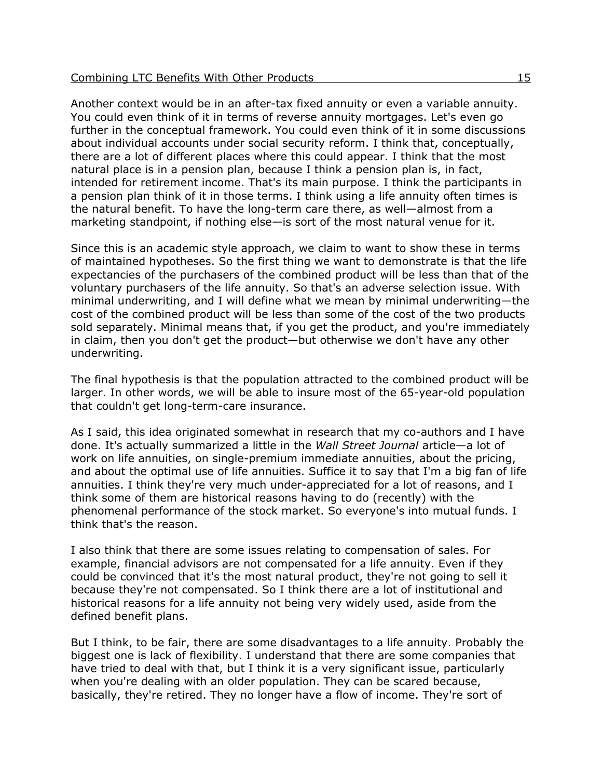Another context would be in an after-tax fixed annuity or even a variable annuity. You could even think of it in terms of reverse annuity mortgages. Let's even go further in the conceptual framework. You could even think of it in some discussions about individual accounts under social security reform. I think that, conceptually, there are a lot of different places where this could appear. I think that the most natural place is in a pension plan, because I think a pension plan is, in fact, intended for retirement income. That's its main purpose. I think the participants in a pension plan think of it in those terms. I think using a life annuity often times is the natural benefit. To have the long-term care there, as well—almost from a marketing standpoint, if nothing else—is sort of the most natural venue for it.

Since this is an academic style approach, we claim to want to show these in terms of maintained hypotheses. So the first thing we want to demonstrate is that the life expectancies of the purchasers of the combined product will be less than that of the voluntary purchasers of the life annuity. So that's an adverse selection issue. With minimal underwriting, and I will define what we mean by minimal underwriting—the cost of the combined product will be less than some of the cost of the two products sold separately. Minimal means that, if you get the product, and you're immediately in claim, then you don't get the product—but otherwise we don't have any other underwriting.

The final hypothesis is that the population attracted to the combined product will be larger. In other words, we will be able to insure most of the 65-year-old population that couldn't get long-term-care insurance.

As I said, this idea originated somewhat in research that my co-authors and I have done. It's actually summarized a little in the *Wall Street Journal* article—a lot of work on life annuities, on single-premium immediate annuities, about the pricing, and about the optimal use of life annuities. Suffice it to say that I'm a big fan of life annuities. I think they're very much under-appreciated for a lot of reasons, and I think some of them are historical reasons having to do (recently) with the phenomenal performance of the stock market. So everyone's into mutual funds. I think that's the reason.

I also think that there are some issues relating to compensation of sales. For example, financial advisors are not compensated for a life annuity. Even if they could be convinced that it's the most natural product, they're not going to sell it because they're not compensated. So I think there are a lot of institutional and historical reasons for a life annuity not being very widely used, aside from the defined benefit plans.

But I think, to be fair, there are some disadvantages to a life annuity. Probably the biggest one is lack of flexibility. I understand that there are some companies that have tried to deal with that, but I think it is a very significant issue, particularly when you're dealing with an older population. They can be scared because, basically, they're retired. They no longer have a flow of income. They're sort of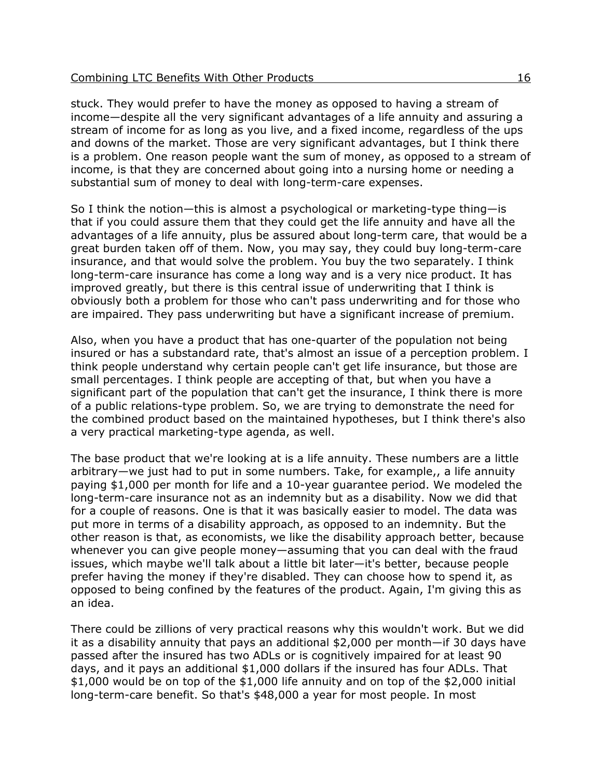stuck. They would prefer to have the money as opposed to having a stream of income—despite all the very significant advantages of a life annuity and assuring a stream of income for as long as you live, and a fixed income, regardless of the ups and downs of the market. Those are very significant advantages, but I think there is a problem. One reason people want the sum of money, as opposed to a stream of income, is that they are concerned about going into a nursing home or needing a substantial sum of money to deal with long-term-care expenses.

So I think the notion—this is almost a psychological or marketing-type thing—is that if you could assure them that they could get the life annuity and have all the advantages of a life annuity, plus be assured about long-term care, that would be a great burden taken off of them. Now, you may say, they could buy long-term-care insurance, and that would solve the problem. You buy the two separately. I think long-term-care insurance has come a long way and is a very nice product. It has improved greatly, but there is this central issue of underwriting that I think is obviously both a problem for those who can't pass underwriting and for those who are impaired. They pass underwriting but have a significant increase of premium.

Also, when you have a product that has one-quarter of the population not being insured or has a substandard rate, that's almost an issue of a perception problem. I think people understand why certain people can't get life insurance, but those are small percentages. I think people are accepting of that, but when you have a significant part of the population that can't get the insurance, I think there is more of a public relations-type problem. So, we are trying to demonstrate the need for the combined product based on the maintained hypotheses, but I think there's also a very practical marketing-type agenda, as well.

The base product that we're looking at is a life annuity. These numbers are a little arbitrary—we just had to put in some numbers. Take, for example,, a life annuity paying \$1,000 per month for life and a 10-year guarantee period. We modeled the long-term-care insurance not as an indemnity but as a disability. Now we did that for a couple of reasons. One is that it was basically easier to model. The data was put more in terms of a disability approach, as opposed to an indemnity. But the other reason is that, as economists, we like the disability approach better, because whenever you can give people money—assuming that you can deal with the fraud issues, which maybe we'll talk about a little bit later—it's better, because people prefer having the money if they're disabled. They can choose how to spend it, as opposed to being confined by the features of the product. Again, I'm giving this as an idea.

There could be zillions of very practical reasons why this wouldn't work. But we did it as a disability annuity that pays an additional \$2,000 per month—if 30 days have passed after the insured has two ADLs or is cognitively impaired for at least 90 days, and it pays an additional \$1,000 dollars if the insured has four ADLs. That \$1,000 would be on top of the \$1,000 life annuity and on top of the \$2,000 initial long-term-care benefit. So that's \$48,000 a year for most people. In most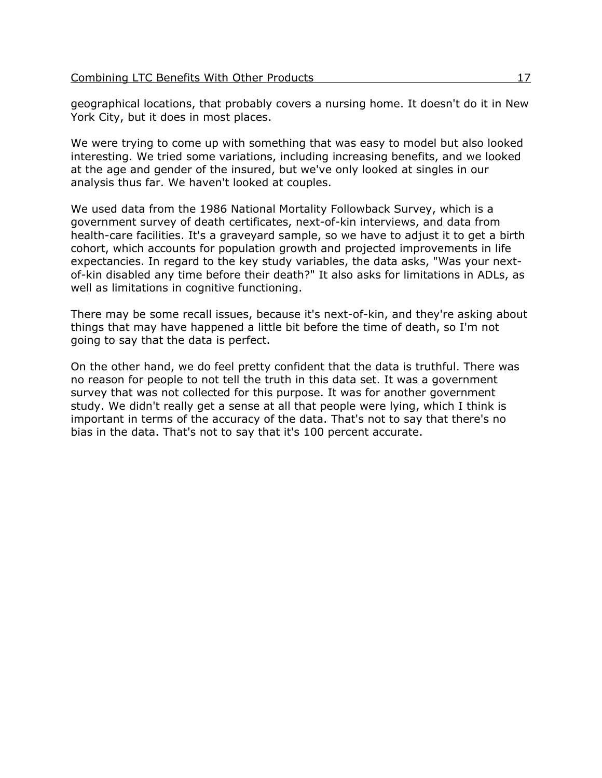geographical locations, that probably covers a nursing home. It doesn't do it in New York City, but it does in most places.

We were trying to come up with something that was easy to model but also looked interesting. We tried some variations, including increasing benefits, and we looked at the age and gender of the insured, but we've only looked at singles in our analysis thus far. We haven't looked at couples.

We used data from the 1986 National Mortality Followback Survey, which is a government survey of death certificates, next-of-kin interviews, and data from health-care facilities. It's a graveyard sample, so we have to adjust it to get a birth cohort, which accounts for population growth and projected improvements in life expectancies. In regard to the key study variables, the data asks, "Was your nextof-kin disabled any time before their death?" It also asks for limitations in ADLs, as well as limitations in cognitive functioning.

There may be some recall issues, because it's next-of-kin, and they're asking about things that may have happened a little bit before the time of death, so I'm not going to say that the data is perfect.

On the other hand, we do feel pretty confident that the data is truthful. There was no reason for people to not tell the truth in this data set. It was a government survey that was not collected for this purpose. It was for another government study. We didn't really get a sense at all that people were lying, which I think is important in terms of the accuracy of the data. That's not to say that there's no bias in the data. That's not to say that it's 100 percent accurate.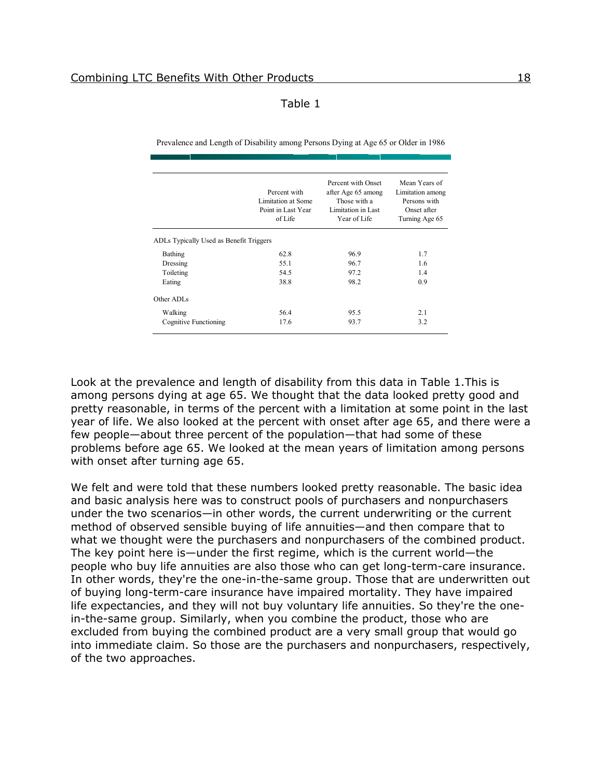| L |  |
|---|--|
|---|--|

Prevalence and Length of Disability among Persons Dying at Age 65 or Older in 1986

|                                         | Percent with<br>Limitation at Some<br>Point in Last Year<br>of Life | Percent with Onset<br>after Age 65 among<br>Those with a<br>Limitation in Last<br>Year of Life | Mean Years of<br>Limitation among<br>Persons with<br>Onset after<br>Turning Age 65 |
|-----------------------------------------|---------------------------------------------------------------------|------------------------------------------------------------------------------------------------|------------------------------------------------------------------------------------|
| ADLs Typically Used as Benefit Triggers |                                                                     |                                                                                                |                                                                                    |
| Bathing                                 | 62.8                                                                | 96.9                                                                                           | 1.7                                                                                |
| Dressing                                | 55.1                                                                | 96.7                                                                                           | 1.6                                                                                |
| Toileting                               | 54.5                                                                | 97.2                                                                                           | 1.4                                                                                |
| Eating                                  | 38.8                                                                | 98.2                                                                                           | 0.9                                                                                |
| Other ADI s                             |                                                                     |                                                                                                |                                                                                    |
| Walking                                 | 56.4                                                                | 95.5                                                                                           | 2.1                                                                                |
| Cognitive Functioning                   | 17.6                                                                | 93.7                                                                                           | 3.2                                                                                |

Look at the prevalence and length of disability from this data in Table 1.This is among persons dying at age 65. We thought that the data looked pretty good and pretty reasonable, in terms of the percent with a limitation at some point in the last year of life. We also looked at the percent with onset after age 65, and there were a few people—about three percent of the population—that had some of these problems before age 65. We looked at the mean years of limitation among persons with onset after turning age 65.

We felt and were told that these numbers looked pretty reasonable. The basic idea and basic analysis here was to construct pools of purchasers and nonpurchasers under the two scenarios—in other words, the current underwriting or the current method of observed sensible buying of life annuities—and then compare that to what we thought were the purchasers and nonpurchasers of the combined product. The key point here is—under the first regime, which is the current world—the people who buy life annuities are also those who can get long-term-care insurance. In other words, they're the one-in-the-same group. Those that are underwritten out of buying long-term-care insurance have impaired mortality. They have impaired life expectancies, and they will not buy voluntary life annuities. So they're the onein-the-same group. Similarly, when you combine the product, those who are excluded from buying the combined product are a very small group that would go into immediate claim. So those are the purchasers and nonpurchasers, respectively, of the two approaches.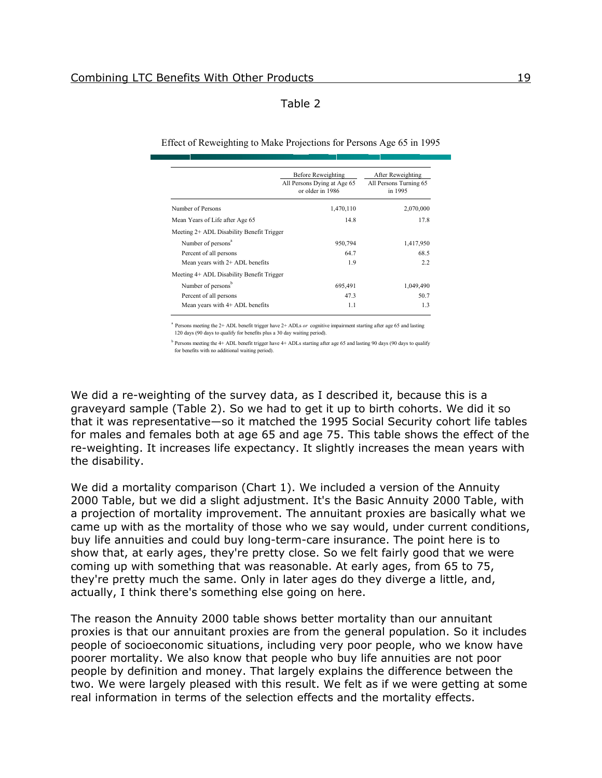#### Table 2

Effect of Reweighting to Make Projections for Persons Age 65 in 1995

|                                           | Before Reweighting                              | After Reweighting                 |
|-------------------------------------------|-------------------------------------------------|-----------------------------------|
|                                           | All Persons Dying at Age 65<br>or older in 1986 | All Persons Turning 65<br>in 1995 |
| Number of Persons                         | 1,470,110                                       | 2,070,000                         |
| Mean Years of Life after Age 65           | 14.8                                            | 17.8                              |
| Meeting 2+ ADL Disability Benefit Trigger |                                                 |                                   |
| Number of persons <sup>a</sup>            | 950,794                                         | 1,417,950                         |
| Percent of all persons                    | 647                                             | 68.5                              |
| Mean years with $2+$ ADL benefits         | 1.9                                             | 22                                |
| Meeting 4+ ADL Disability Benefit Trigger |                                                 |                                   |
| Number of persons <sup>b</sup>            | 695,491                                         | 1,049,490                         |
| Percent of all persons                    | 473                                             | 50.7                              |
| Mean years with 4+ ADL benefits           | 1.1                                             | 13                                |

a Persons meeting the 2+ ADL benefit trigger have 2+ ADLs *or* cognitive impairment starting after age 65 and lasting 120 days (90 days to qualify for benefits plus a 30 day waiting period).

<sup>b</sup> Persons meeting the 4+ ADL benefit trigger have 4+ ADLs starting after age 65 and lasting 90 days (90 days to qualify for benefits with no additional waiting period).

We did a re-weighting of the survey data, as I described it, because this is a graveyard sample (Table 2). So we had to get it up to birth cohorts. We did it so that it was representative—so it matched the 1995 Social Security cohort life tables for males and females both at age 65 and age 75. This table shows the effect of the re-weighting. It increases life expectancy. It slightly increases the mean years with the disability.

We did a mortality comparison (Chart 1). We included a version of the Annuity 2000 Table, but we did a slight adjustment. It's the Basic Annuity 2000 Table, with a projection of mortality improvement. The annuitant proxies are basically what we came up with as the mortality of those who we say would, under current conditions, buy life annuities and could buy long-term-care insurance. The point here is to show that, at early ages, they're pretty close. So we felt fairly good that we were coming up with something that was reasonable. At early ages, from 65 to 75, they're pretty much the same. Only in later ages do they diverge a little, and, actually, I think there's something else going on here.

The reason the Annuity 2000 table shows better mortality than our annuitant proxies is that our annuitant proxies are from the general population. So it includes people of socioeconomic situations, including very poor people, who we know have poorer mortality. We also know that people who buy life annuities are not poor people by definition and money. That largely explains the difference between the two. We were largely pleased with this result. We felt as if we were getting at some real information in terms of the selection effects and the mortality effects.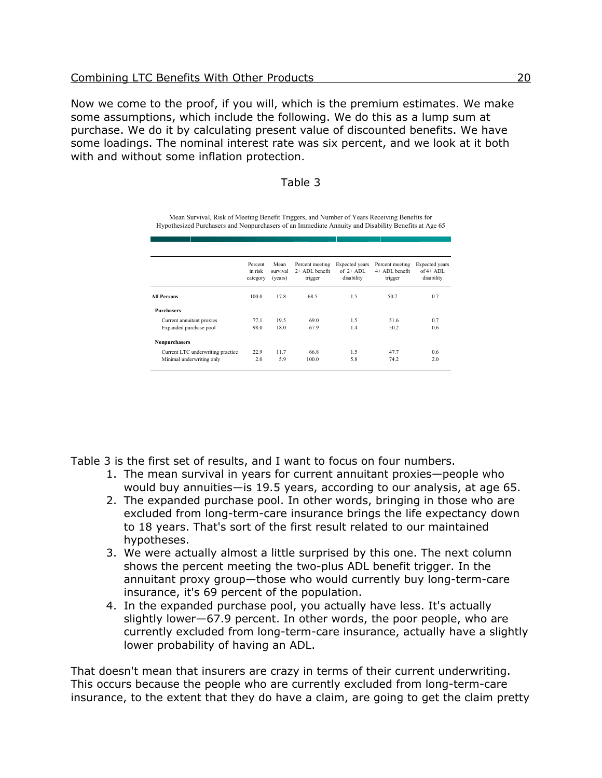Now we come to the proof, if you will, which is the premium estimates. We make some assumptions, which include the following. We do this as a lump sum at purchase. We do it by calculating present value of discounted benefits. We have some loadings. The nominal interest rate was six percent, and we look at it both with and without some inflation protection.

#### Table 3

Mean Survival, Risk of Meeting Benefit Triggers, and Number of Years Receiving Benefits for Hypothesized Purchasers and Nonpurchasers of an Immediate Annuity and Disability Benefits at Age 65

|                                   | Percent<br>in risk<br>category | Mean<br>survival<br>(years) | Percent meeting<br>$2+$ ADL benefit<br>trigger | Expected years<br>of $2+$ ADL.<br>disability | Percent meeting<br>4+ ADL benefit<br>trigger | Expected years<br>of $4+$ ADI.<br>disability |
|-----------------------------------|--------------------------------|-----------------------------|------------------------------------------------|----------------------------------------------|----------------------------------------------|----------------------------------------------|
| All Persons                       | 1000                           | 17.8                        | 68.5                                           | 1.5                                          | 50.7                                         | 0.7                                          |
| <b>Purchasers</b>                 |                                |                             |                                                |                                              |                                              |                                              |
| Current annuitant proxies         | 77.1                           | 19.5                        | 690                                            | 1.5                                          | 51.6                                         | 0.7                                          |
| Expanded purchase pool            | 98.0                           | 18.0                        | 67.9                                           | 1.4                                          | 50 2                                         | 0.6                                          |
| <b>Nonpurchasers</b>              |                                |                             |                                                |                                              |                                              |                                              |
| Current LTC underwriting practice | 22.9                           | 117                         | 66.8                                           | 1.5                                          | 477                                          | 0.6                                          |
| Minimal underwriting only         | 2.0                            | 5.9                         | 100.0                                          | 5.8                                          | 74.2                                         | 2.0                                          |

Table 3 is the first set of results, and I want to focus on four numbers.

- 1. The mean survival in years for current annuitant proxies—people who would buy annuities—is 19.5 years, according to our analysis, at age 65.
- 2. The expanded purchase pool. In other words, bringing in those who are excluded from long-term-care insurance brings the life expectancy down to 18 years. That's sort of the first result related to our maintained hypotheses.
- 3. We were actually almost a little surprised by this one. The next column shows the percent meeting the two-plus ADL benefit trigger. In the annuitant proxy group—those who would currently buy long-term-care insurance, it's 69 percent of the population.
- 4. In the expanded purchase pool, you actually have less. It's actually slightly lower—67.9 percent. In other words, the poor people, who are currently excluded from long-term-care insurance, actually have a slightly lower probability of having an ADL.

That doesn't mean that insurers are crazy in terms of their current underwriting. This occurs because the people who are currently excluded from long-term-care insurance, to the extent that they do have a claim, are going to get the claim pretty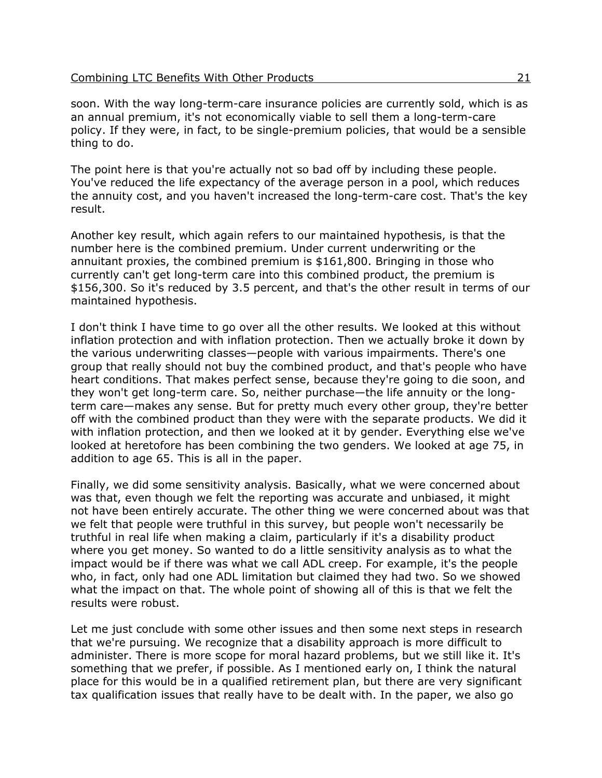| Combining LTC Benefits With Other Products |
|--------------------------------------------|
|--------------------------------------------|

soon. With the way long-term-care insurance policies are currently sold, which is as an annual premium, it's not economically viable to sell them a long-term-care policy. If they were, in fact, to be single-premium policies, that would be a sensible thing to do.

The point here is that you're actually not so bad off by including these people. You've reduced the life expectancy of the average person in a pool, which reduces the annuity cost, and you haven't increased the long-term-care cost. That's the key result.

Another key result, which again refers to our maintained hypothesis, is that the number here is the combined premium. Under current underwriting or the annuitant proxies, the combined premium is \$161,800. Bringing in those who currently can't get long-term care into this combined product, the premium is \$156,300. So it's reduced by 3.5 percent, and that's the other result in terms of our maintained hypothesis.

I don't think I have time to go over all the other results. We looked at this without inflation protection and with inflation protection. Then we actually broke it down by the various underwriting classes—people with various impairments. There's one group that really should not buy the combined product, and that's people who have heart conditions. That makes perfect sense, because they're going to die soon, and they won't get long-term care. So, neither purchase—the life annuity or the longterm care—makes any sense. But for pretty much every other group, they're better off with the combined product than they were with the separate products. We did it with inflation protection, and then we looked at it by gender. Everything else we've looked at heretofore has been combining the two genders. We looked at age 75, in addition to age 65. This is all in the paper.

Finally, we did some sensitivity analysis. Basically, what we were concerned about was that, even though we felt the reporting was accurate and unbiased, it might not have been entirely accurate. The other thing we were concerned about was that we felt that people were truthful in this survey, but people won't necessarily be truthful in real life when making a claim, particularly if it's a disability product where you get money. So wanted to do a little sensitivity analysis as to what the impact would be if there was what we call ADL creep. For example, it's the people who, in fact, only had one ADL limitation but claimed they had two. So we showed what the impact on that. The whole point of showing all of this is that we felt the results were robust.

Let me just conclude with some other issues and then some next steps in research that we're pursuing. We recognize that a disability approach is more difficult to administer. There is more scope for moral hazard problems, but we still like it. It's something that we prefer, if possible. As I mentioned early on, I think the natural place for this would be in a qualified retirement plan, but there are very significant tax qualification issues that really have to be dealt with. In the paper, we also go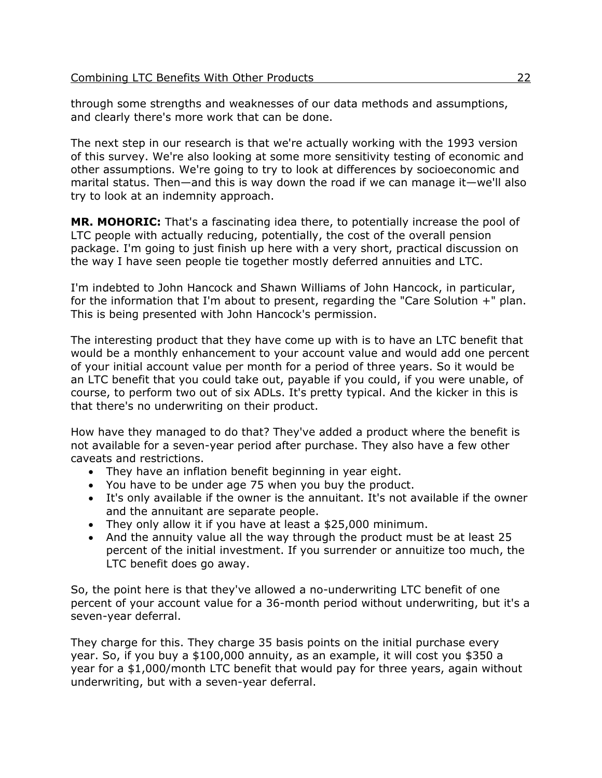through some strengths and weaknesses of our data methods and assumptions, and clearly there's more work that can be done.

The next step in our research is that we're actually working with the 1993 version of this survey. We're also looking at some more sensitivity testing of economic and other assumptions. We're going to try to look at differences by socioeconomic and marital status. Then—and this is way down the road if we can manage it—we'll also try to look at an indemnity approach.

**MR. MOHORIC:** That's a fascinating idea there, to potentially increase the pool of LTC people with actually reducing, potentially, the cost of the overall pension package. I'm going to just finish up here with a very short, practical discussion on the way I have seen people tie together mostly deferred annuities and LTC.

I'm indebted to John Hancock and Shawn Williams of John Hancock, in particular, for the information that I'm about to present, regarding the "Care Solution +" plan. This is being presented with John Hancock's permission.

The interesting product that they have come up with is to have an LTC benefit that would be a monthly enhancement to your account value and would add one percent of your initial account value per month for a period of three years. So it would be an LTC benefit that you could take out, payable if you could, if you were unable, of course, to perform two out of six ADLs. It's pretty typical. And the kicker in this is that there's no underwriting on their product.

How have they managed to do that? They've added a product where the benefit is not available for a seven-year period after purchase. They also have a few other caveats and restrictions.

- They have an inflation benefit beginning in year eight.
- You have to be under age 75 when you buy the product.
- It's only available if the owner is the annuitant. It's not available if the owner and the annuitant are separate people.
- They only allow it if you have at least a \$25,000 minimum.
- And the annuity value all the way through the product must be at least 25 percent of the initial investment. If you surrender or annuitize too much, the LTC benefit does go away.

So, the point here is that they've allowed a no-underwriting LTC benefit of one percent of your account value for a 36-month period without underwriting, but it's a seven-year deferral.

They charge for this. They charge 35 basis points on the initial purchase every year. So, if you buy a \$100,000 annuity, as an example, it will cost you \$350 a year for a \$1,000/month LTC benefit that would pay for three years, again without underwriting, but with a seven-year deferral.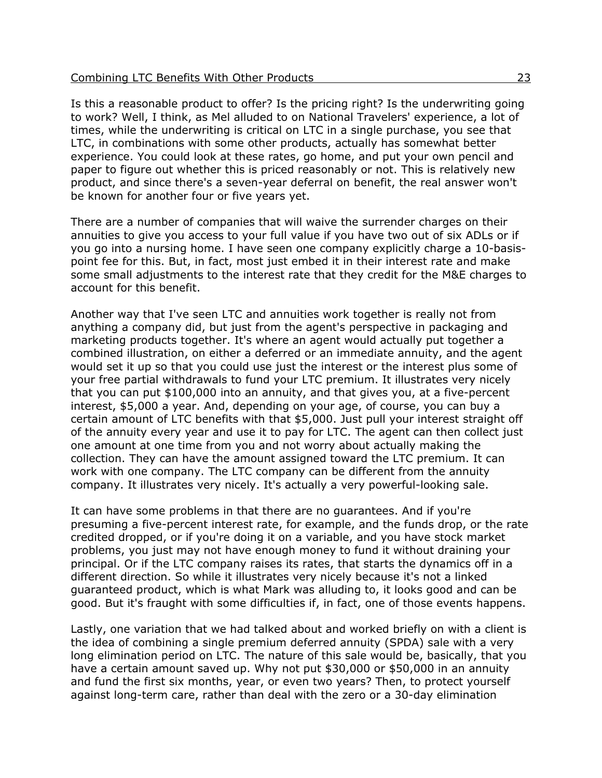Is this a reasonable product to offer? Is the pricing right? Is the underwriting going to work? Well, I think, as Mel alluded to on National Travelers' experience, a lot of times, while the underwriting is critical on LTC in a single purchase, you see that LTC, in combinations with some other products, actually has somewhat better experience. You could look at these rates, go home, and put your own pencil and paper to figure out whether this is priced reasonably or not. This is relatively new product, and since there's a seven-year deferral on benefit, the real answer won't be known for another four or five years yet.

There are a number of companies that will waive the surrender charges on their annuities to give you access to your full value if you have two out of six ADLs or if you go into a nursing home. I have seen one company explicitly charge a 10-basispoint fee for this. But, in fact, most just embed it in their interest rate and make some small adjustments to the interest rate that they credit for the M&E charges to account for this benefit.

Another way that I've seen LTC and annuities work together is really not from anything a company did, but just from the agent's perspective in packaging and marketing products together. It's where an agent would actually put together a combined illustration, on either a deferred or an immediate annuity, and the agent would set it up so that you could use just the interest or the interest plus some of your free partial withdrawals to fund your LTC premium. It illustrates very nicely that you can put \$100,000 into an annuity, and that gives you, at a five-percent interest, \$5,000 a year. And, depending on your age, of course, you can buy a certain amount of LTC benefits with that \$5,000. Just pull your interest straight off of the annuity every year and use it to pay for LTC. The agent can then collect just one amount at one time from you and not worry about actually making the collection. They can have the amount assigned toward the LTC premium. It can work with one company. The LTC company can be different from the annuity company. It illustrates very nicely. It's actually a very powerful-looking sale.

It can have some problems in that there are no guarantees. And if you're presuming a five-percent interest rate, for example, and the funds drop, or the rate credited dropped, or if you're doing it on a variable, and you have stock market problems, you just may not have enough money to fund it without draining your principal. Or if the LTC company raises its rates, that starts the dynamics off in a different direction. So while it illustrates very nicely because it's not a linked guaranteed product, which is what Mark was alluding to, it looks good and can be good. But it's fraught with some difficulties if, in fact, one of those events happens.

Lastly, one variation that we had talked about and worked briefly on with a client is the idea of combining a single premium deferred annuity (SPDA) sale with a very long elimination period on LTC. The nature of this sale would be, basically, that you have a certain amount saved up. Why not put \$30,000 or \$50,000 in an annuity and fund the first six months, year, or even two years? Then, to protect yourself against long-term care, rather than deal with the zero or a 30-day elimination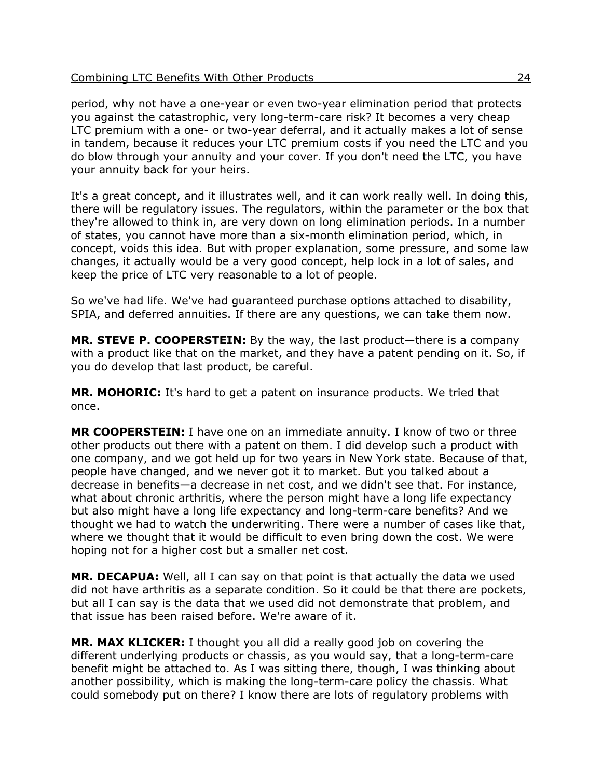period, why not have a one-year or even two-year elimination period that protects you against the catastrophic, very long-term-care risk? It becomes a very cheap LTC premium with a one- or two-year deferral, and it actually makes a lot of sense in tandem, because it reduces your LTC premium costs if you need the LTC and you do blow through your annuity and your cover. If you don't need the LTC, you have your annuity back for your heirs.

It's a great concept, and it illustrates well, and it can work really well. In doing this, there will be regulatory issues. The regulators, within the parameter or the box that they're allowed to think in, are very down on long elimination periods. In a number of states, you cannot have more than a six-month elimination period, which, in concept, voids this idea. But with proper explanation, some pressure, and some law changes, it actually would be a very good concept, help lock in a lot of sales, and keep the price of LTC very reasonable to a lot of people.

So we've had life. We've had guaranteed purchase options attached to disability, SPIA, and deferred annuities. If there are any questions, we can take them now.

**MR. STEVE P. COOPERSTEIN:** By the way, the last product—there is a company with a product like that on the market, and they have a patent pending on it. So, if you do develop that last product, be careful.

**MR. MOHORIC:** It's hard to get a patent on insurance products. We tried that once.

**MR COOPERSTEIN:** I have one on an immediate annuity. I know of two or three other products out there with a patent on them. I did develop such a product with one company, and we got held up for two years in New York state. Because of that, people have changed, and we never got it to market. But you talked about a decrease in benefits—a decrease in net cost, and we didn't see that. For instance, what about chronic arthritis, where the person might have a long life expectancy but also might have a long life expectancy and long-term-care benefits? And we thought we had to watch the underwriting. There were a number of cases like that, where we thought that it would be difficult to even bring down the cost. We were hoping not for a higher cost but a smaller net cost.

**MR. DECAPUA:** Well, all I can say on that point is that actually the data we used did not have arthritis as a separate condition. So it could be that there are pockets, but all I can say is the data that we used did not demonstrate that problem, and that issue has been raised before. We're aware of it.

**MR. MAX KLICKER:** I thought you all did a really good job on covering the different underlying products or chassis, as you would say, that a long-term-care benefit might be attached to. As I was sitting there, though, I was thinking about another possibility, which is making the long-term-care policy the chassis. What could somebody put on there? I know there are lots of regulatory problems with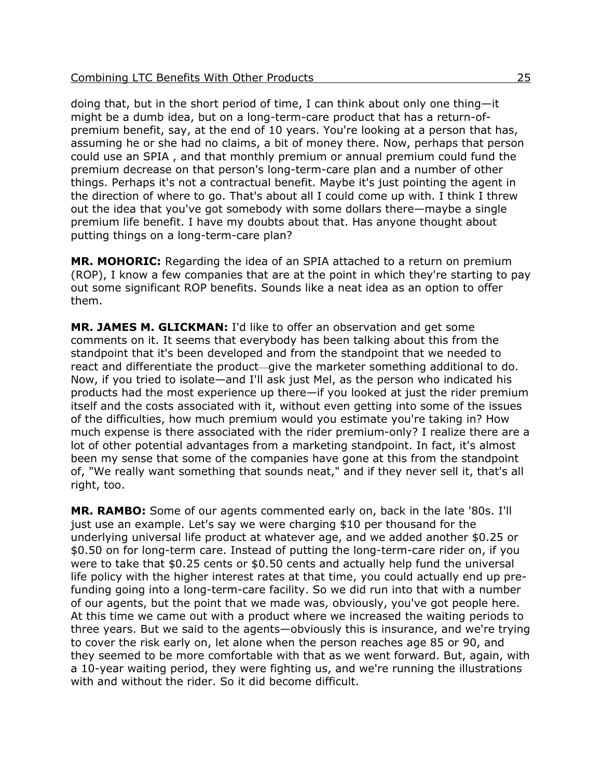doing that, but in the short period of time, I can think about only one thing—it might be a dumb idea, but on a long-term-care product that has a return-ofpremium benefit, say, at the end of 10 years. You're looking at a person that has, assuming he or she had no claims, a bit of money there. Now, perhaps that person could use an SPIA , and that monthly premium or annual premium could fund the premium decrease on that person's long-term-care plan and a number of other things. Perhaps it's not a contractual benefit. Maybe it's just pointing the agent in the direction of where to go. That's about all I could come up with. I think I threw out the idea that you've got somebody with some dollars there—maybe a single premium life benefit. I have my doubts about that. Has anyone thought about putting things on a long-term-care plan?

**MR. MOHORIC:** Regarding the idea of an SPIA attached to a return on premium (ROP), I know a few companies that are at the point in which they're starting to pay out some significant ROP benefits. Sounds like a neat idea as an option to offer them.

**MR. JAMES M. GLICKMAN:** I'd like to offer an observation and get some comments on it. It seems that everybody has been talking about this from the standpoint that it's been developed and from the standpoint that we needed to react and differentiate the product—give the marketer something additional to do. Now, if you tried to isolate—and I'll ask just Mel, as the person who indicated his products had the most experience up there—if you looked at just the rider premium itself and the costs associated with it, without even getting into some of the issues of the difficulties, how much premium would you estimate you're taking in? How much expense is there associated with the rider premium-only? I realize there are a lot of other potential advantages from a marketing standpoint. In fact, it's almost been my sense that some of the companies have gone at this from the standpoint of, "We really want something that sounds neat," and if they never sell it, that's all right, too.

**MR. RAMBO:** Some of our agents commented early on, back in the late '80s. I'll just use an example. Let's say we were charging \$10 per thousand for the underlying universal life product at whatever age, and we added another \$0.25 or \$0.50 on for long-term care. Instead of putting the long-term-care rider on, if you were to take that \$0.25 cents or \$0.50 cents and actually help fund the universal life policy with the higher interest rates at that time, you could actually end up prefunding going into a long-term-care facility. So we did run into that with a number of our agents, but the point that we made was, obviously, you've got people here. At this time we came out with a product where we increased the waiting periods to three years. But we said to the agents—obviously this is insurance, and we're trying to cover the risk early on, let alone when the person reaches age 85 or 90, and they seemed to be more comfortable with that as we went forward. But, again, with a 10-year waiting period, they were fighting us, and we're running the illustrations with and without the rider. So it did become difficult.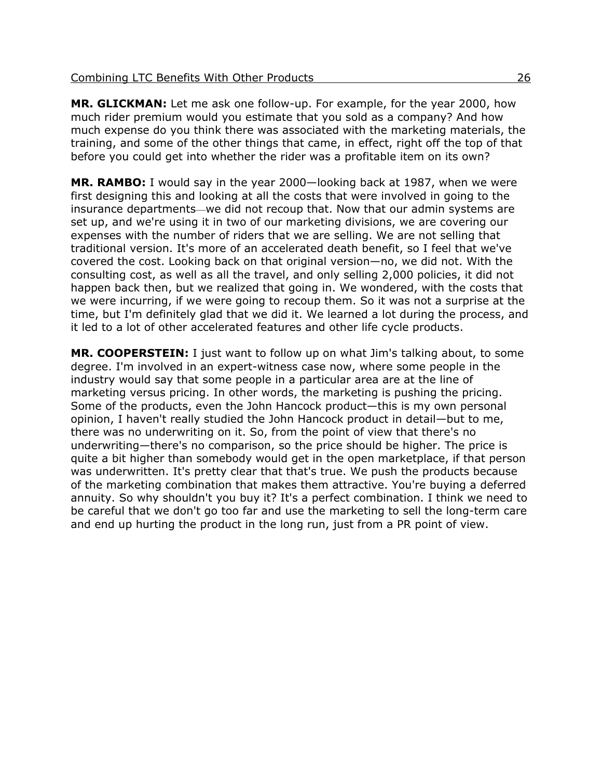**MR. GLICKMAN:** Let me ask one follow-up. For example, for the year 2000, how much rider premium would you estimate that you sold as a company? And how much expense do you think there was associated with the marketing materials, the training, and some of the other things that came, in effect, right off the top of that before you could get into whether the rider was a profitable item on its own?

**MR. RAMBO:** I would say in the year 2000—looking back at 1987, when we were first designing this and looking at all the costs that were involved in going to the insurance departments—we did not recoup that. Now that our admin systems are set up, and we're using it in two of our marketing divisions, we are covering our expenses with the number of riders that we are selling. We are not selling that traditional version. It's more of an accelerated death benefit, so I feel that we've covered the cost. Looking back on that original version—no, we did not. With the consulting cost, as well as all the travel, and only selling 2,000 policies, it did not happen back then, but we realized that going in. We wondered, with the costs that we were incurring, if we were going to recoup them. So it was not a surprise at the time, but I'm definitely glad that we did it. We learned a lot during the process, and it led to a lot of other accelerated features and other life cycle products.

**MR. COOPERSTEIN:** I just want to follow up on what Jim's talking about, to some degree. I'm involved in an expert-witness case now, where some people in the industry would say that some people in a particular area are at the line of marketing versus pricing. In other words, the marketing is pushing the pricing. Some of the products, even the John Hancock product—this is my own personal opinion, I haven't really studied the John Hancock product in detail—but to me, there was no underwriting on it. So, from the point of view that there's no underwriting—there's no comparison, so the price should be higher. The price is quite a bit higher than somebody would get in the open marketplace, if that person was underwritten. It's pretty clear that that's true. We push the products because of the marketing combination that makes them attractive. You're buying a deferred annuity. So why shouldn't you buy it? It's a perfect combination. I think we need to be careful that we don't go too far and use the marketing to sell the long-term care and end up hurting the product in the long run, just from a PR point of view.